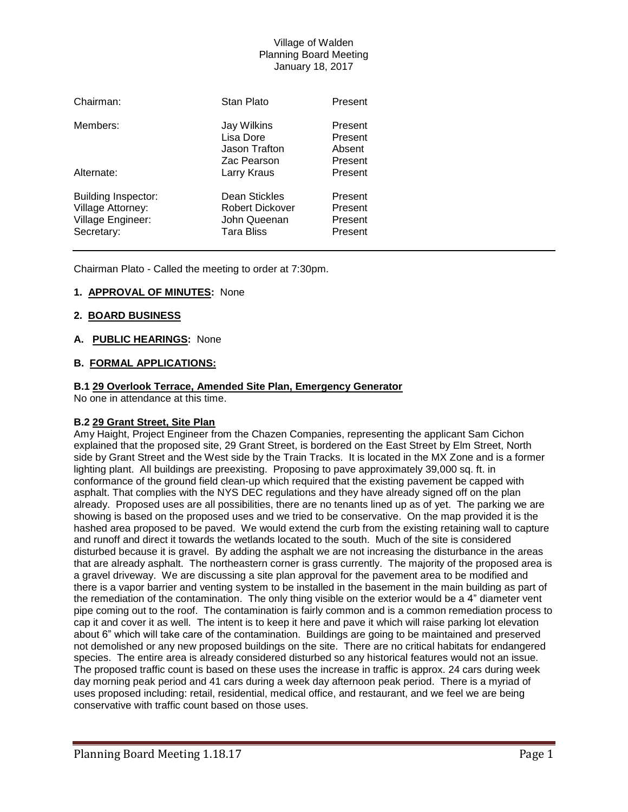| Chairman:                                                                          | Stan Plato                                                            | Present                                  |
|------------------------------------------------------------------------------------|-----------------------------------------------------------------------|------------------------------------------|
| Members:                                                                           | Jay Wilkins<br>Lisa Dore<br>Jason Trafton<br>Zac Pearson              | Present<br>Present<br>Absent<br>Present  |
| Alternate:                                                                         | Larry Kraus                                                           | Present                                  |
| Building Inspector:<br><b>Village Attorney:</b><br>Village Engineer:<br>Secretary: | Dean Stickles<br>Robert Dickover<br>John Queenan<br><b>Tara Bliss</b> | Present<br>Present<br>Present<br>Present |

Chairman Plato - Called the meeting to order at 7:30pm.

# **1. APPROVAL OF MINUTES:** None

# **2. BOARD BUSINESS**

# **A. PUBLIC HEARINGS:** None

# **B. FORMAL APPLICATIONS:**

# **B.1 29 Overlook Terrace, Amended Site Plan, Emergency Generator**

No one in attendance at this time.

### **B.2 29 Grant Street, Site Plan**

Amy Haight, Project Engineer from the Chazen Companies, representing the applicant Sam Cichon explained that the proposed site, 29 Grant Street, is bordered on the East Street by Elm Street, North side by Grant Street and the West side by the Train Tracks. It is located in the MX Zone and is a former lighting plant. All buildings are preexisting. Proposing to pave approximately 39,000 sq. ft. in conformance of the ground field clean-up which required that the existing pavement be capped with asphalt. That complies with the NYS DEC regulations and they have already signed off on the plan already. Proposed uses are all possibilities, there are no tenants lined up as of yet. The parking we are showing is based on the proposed uses and we tried to be conservative. On the map provided it is the hashed area proposed to be paved. We would extend the curb from the existing retaining wall to capture and runoff and direct it towards the wetlands located to the south. Much of the site is considered disturbed because it is gravel. By adding the asphalt we are not increasing the disturbance in the areas that are already asphalt. The northeastern corner is grass currently. The majority of the proposed area is a gravel driveway. We are discussing a site plan approval for the pavement area to be modified and there is a vapor barrier and venting system to be installed in the basement in the main building as part of the remediation of the contamination. The only thing visible on the exterior would be a 4" diameter vent pipe coming out to the roof. The contamination is fairly common and is a common remediation process to cap it and cover it as well. The intent is to keep it here and pave it which will raise parking lot elevation about 6" which will take care of the contamination. Buildings are going to be maintained and preserved not demolished or any new proposed buildings on the site. There are no critical habitats for endangered species. The entire area is already considered disturbed so any historical features would not an issue. The proposed traffic count is based on these uses the increase in traffic is approx. 24 cars during week day morning peak period and 41 cars during a week day afternoon peak period. There is a myriad of uses proposed including: retail, residential, medical office, and restaurant, and we feel we are being conservative with traffic count based on those uses.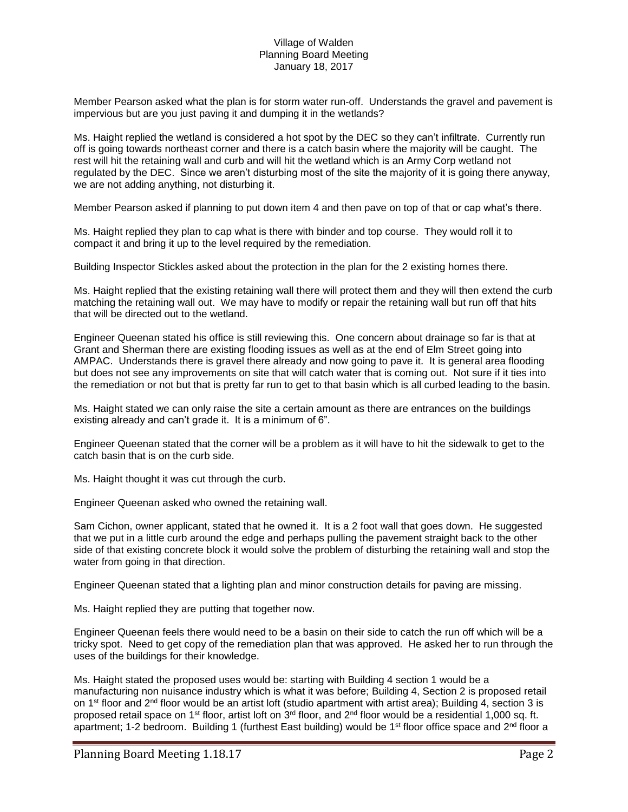Member Pearson asked what the plan is for storm water run-off. Understands the gravel and pavement is impervious but are you just paving it and dumping it in the wetlands?

Ms. Haight replied the wetland is considered a hot spot by the DEC so they can't infiltrate. Currently run off is going towards northeast corner and there is a catch basin where the majority will be caught. The rest will hit the retaining wall and curb and will hit the wetland which is an Army Corp wetland not regulated by the DEC. Since we aren't disturbing most of the site the majority of it is going there anyway, we are not adding anything, not disturbing it.

Member Pearson asked if planning to put down item 4 and then pave on top of that or cap what's there.

Ms. Haight replied they plan to cap what is there with binder and top course. They would roll it to compact it and bring it up to the level required by the remediation.

Building Inspector Stickles asked about the protection in the plan for the 2 existing homes there.

Ms. Haight replied that the existing retaining wall there will protect them and they will then extend the curb matching the retaining wall out. We may have to modify or repair the retaining wall but run off that hits that will be directed out to the wetland.

Engineer Queenan stated his office is still reviewing this. One concern about drainage so far is that at Grant and Sherman there are existing flooding issues as well as at the end of Elm Street going into AMPAC. Understands there is gravel there already and now going to pave it. It is general area flooding but does not see any improvements on site that will catch water that is coming out. Not sure if it ties into the remediation or not but that is pretty far run to get to that basin which is all curbed leading to the basin.

Ms. Haight stated we can only raise the site a certain amount as there are entrances on the buildings existing already and can't grade it. It is a minimum of 6".

Engineer Queenan stated that the corner will be a problem as it will have to hit the sidewalk to get to the catch basin that is on the curb side.

Ms. Haight thought it was cut through the curb.

Engineer Queenan asked who owned the retaining wall.

Sam Cichon, owner applicant, stated that he owned it. It is a 2 foot wall that goes down. He suggested that we put in a little curb around the edge and perhaps pulling the pavement straight back to the other side of that existing concrete block it would solve the problem of disturbing the retaining wall and stop the water from going in that direction.

Engineer Queenan stated that a lighting plan and minor construction details for paving are missing.

Ms. Haight replied they are putting that together now.

Engineer Queenan feels there would need to be a basin on their side to catch the run off which will be a tricky spot. Need to get copy of the remediation plan that was approved. He asked her to run through the uses of the buildings for their knowledge.

Ms. Haight stated the proposed uses would be: starting with Building 4 section 1 would be a manufacturing non nuisance industry which is what it was before; Building 4, Section 2 is proposed retail on 1<sup>st</sup> floor and 2<sup>nd</sup> floor would be an artist loft (studio apartment with artist area); Building 4, section 3 is proposed retail space on 1<sup>st</sup> floor, artist loft on 3<sup>rd</sup> floor, and 2<sup>nd</sup> floor would be a residential 1,000 sq. ft. apartment; 1-2 bedroom. Building 1 (furthest East building) would be 1<sup>st</sup> floor office space and 2<sup>nd</sup> floor a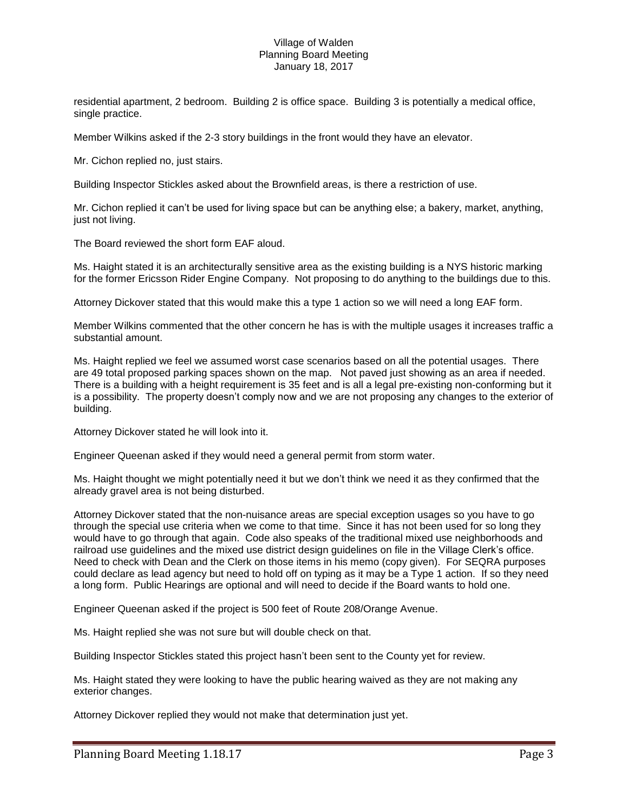residential apartment, 2 bedroom. Building 2 is office space. Building 3 is potentially a medical office, single practice.

Member Wilkins asked if the 2-3 story buildings in the front would they have an elevator.

Mr. Cichon replied no, just stairs.

Building Inspector Stickles asked about the Brownfield areas, is there a restriction of use.

Mr. Cichon replied it can't be used for living space but can be anything else; a bakery, market, anything, just not living.

The Board reviewed the short form EAF aloud.

Ms. Haight stated it is an architecturally sensitive area as the existing building is a NYS historic marking for the former Ericsson Rider Engine Company. Not proposing to do anything to the buildings due to this.

Attorney Dickover stated that this would make this a type 1 action so we will need a long EAF form.

Member Wilkins commented that the other concern he has is with the multiple usages it increases traffic a substantial amount.

Ms. Haight replied we feel we assumed worst case scenarios based on all the potential usages. There are 49 total proposed parking spaces shown on the map. Not paved just showing as an area if needed. There is a building with a height requirement is 35 feet and is all a legal pre-existing non-conforming but it is a possibility. The property doesn't comply now and we are not proposing any changes to the exterior of building.

Attorney Dickover stated he will look into it.

Engineer Queenan asked if they would need a general permit from storm water.

Ms. Haight thought we might potentially need it but we don't think we need it as they confirmed that the already gravel area is not being disturbed.

Attorney Dickover stated that the non-nuisance areas are special exception usages so you have to go through the special use criteria when we come to that time. Since it has not been used for so long they would have to go through that again. Code also speaks of the traditional mixed use neighborhoods and railroad use guidelines and the mixed use district design guidelines on file in the Village Clerk's office. Need to check with Dean and the Clerk on those items in his memo (copy given). For SEQRA purposes could declare as lead agency but need to hold off on typing as it may be a Type 1 action. If so they need a long form. Public Hearings are optional and will need to decide if the Board wants to hold one.

Engineer Queenan asked if the project is 500 feet of Route 208/Orange Avenue.

Ms. Haight replied she was not sure but will double check on that.

Building Inspector Stickles stated this project hasn't been sent to the County yet for review.

Ms. Haight stated they were looking to have the public hearing waived as they are not making any exterior changes.

Attorney Dickover replied they would not make that determination just yet.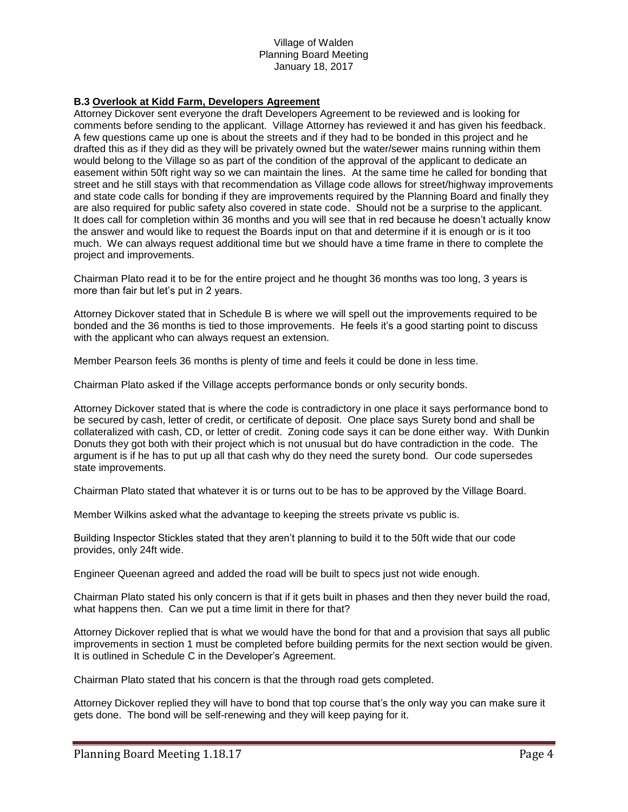# **B.3 Overlook at Kidd Farm, Developers Agreement**

Attorney Dickover sent everyone the draft Developers Agreement to be reviewed and is looking for comments before sending to the applicant. Village Attorney has reviewed it and has given his feedback. A few questions came up one is about the streets and if they had to be bonded in this project and he drafted this as if they did as they will be privately owned but the water/sewer mains running within them would belong to the Village so as part of the condition of the approval of the applicant to dedicate an easement within 50ft right way so we can maintain the lines. At the same time he called for bonding that street and he still stays with that recommendation as Village code allows for street/highway improvements and state code calls for bonding if they are improvements required by the Planning Board and finally they are also required for public safety also covered in state code. Should not be a surprise to the applicant. It does call for completion within 36 months and you will see that in red because he doesn't actually know the answer and would like to request the Boards input on that and determine if it is enough or is it too much. We can always request additional time but we should have a time frame in there to complete the project and improvements.

Chairman Plato read it to be for the entire project and he thought 36 months was too long, 3 years is more than fair but let's put in 2 years.

Attorney Dickover stated that in Schedule B is where we will spell out the improvements required to be bonded and the 36 months is tied to those improvements. He feels it's a good starting point to discuss with the applicant who can always request an extension.

Member Pearson feels 36 months is plenty of time and feels it could be done in less time.

Chairman Plato asked if the Village accepts performance bonds or only security bonds.

Attorney Dickover stated that is where the code is contradictory in one place it says performance bond to be secured by cash, letter of credit, or certificate of deposit. One place says Surety bond and shall be collateralized with cash, CD, or letter of credit. Zoning code says it can be done either way. With Dunkin Donuts they got both with their project which is not unusual but do have contradiction in the code. The argument is if he has to put up all that cash why do they need the surety bond. Our code supersedes state improvements.

Chairman Plato stated that whatever it is or turns out to be has to be approved by the Village Board.

Member Wilkins asked what the advantage to keeping the streets private vs public is.

Building Inspector Stickles stated that they aren't planning to build it to the 50ft wide that our code provides, only 24ft wide.

Engineer Queenan agreed and added the road will be built to specs just not wide enough.

Chairman Plato stated his only concern is that if it gets built in phases and then they never build the road, what happens then. Can we put a time limit in there for that?

Attorney Dickover replied that is what we would have the bond for that and a provision that says all public improvements in section 1 must be completed before building permits for the next section would be given. It is outlined in Schedule C in the Developer's Agreement.

Chairman Plato stated that his concern is that the through road gets completed.

Attorney Dickover replied they will have to bond that top course that's the only way you can make sure it gets done. The bond will be self-renewing and they will keep paying for it.